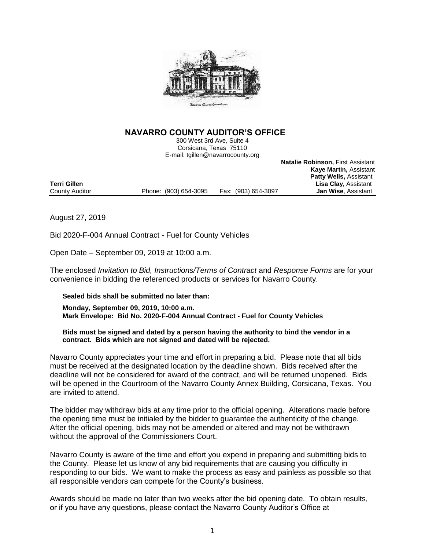

# **NAVARRO COUNTY AUDITOR'S OFFICE**

300 West 3rd Ave, Suite 4 Corsicana, Texas 75110 E-mail: tgillen@navarrocounty.org

**Natalie Robinson,** First Assistant **Kaye Martin,** Assistant **Patty Wells,** Assistant Lisa Clay, Assistant<br>**Jan Wise**, Assistant County Auditor **Phone:** (903) 654-3095 Fax: (903) 654-3097

August 27, 2019

Bid 2020-F-004 Annual Contract - Fuel for County Vehicles

Open Date – September 09, 2019 at 10:00 a.m.

The enclosed *Invitation to Bid, Instructions/Terms of Contract* and *Response Forms* are for your convenience in bidding the referenced products or services for Navarro County.

# **Sealed bids shall be submitted no later than:**

**Monday, September 09, 2019, 10:00 a.m. Mark Envelope: Bid No. 2020-F-004 Annual Contract - Fuel for County Vehicles**

### **Bids must be signed and dated by a person having the authority to bind the vendor in a contract. Bids which are not signed and dated will be rejected.**

Navarro County appreciates your time and effort in preparing a bid. Please note that all bids must be received at the designated location by the deadline shown. Bids received after the deadline will not be considered for award of the contract, and will be returned unopened. Bids will be opened in the Courtroom of the Navarro County Annex Building, Corsicana, Texas. You are invited to attend.

The bidder may withdraw bids at any time prior to the official opening. Alterations made before the opening time must be initialed by the bidder to guarantee the authenticity of the change. After the official opening, bids may not be amended or altered and may not be withdrawn without the approval of the Commissioners Court.

Navarro County is aware of the time and effort you expend in preparing and submitting bids to the County. Please let us know of any bid requirements that are causing you difficulty in responding to our bids. We want to make the process as easy and painless as possible so that all responsible vendors can compete for the County's business.

Awards should be made no later than two weeks after the bid opening date. To obtain results, or if you have any questions, please contact the Navarro County Auditor's Office at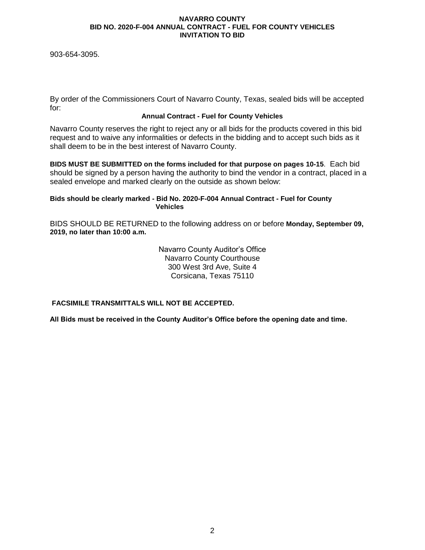903-654-3095.

By order of the Commissioners Court of Navarro County, Texas, sealed bids will be accepted for:

# **Annual Contract - Fuel for County Vehicles**

Navarro County reserves the right to reject any or all bids for the products covered in this bid request and to waive any informalities or defects in the bidding and to accept such bids as it shall deem to be in the best interest of Navarro County.

**BIDS MUST BE SUBMITTED on the forms included for that purpose on pages 10-15**. Each bid should be signed by a person having the authority to bind the vendor in a contract, placed in a sealed envelope and marked clearly on the outside as shown below:

### **Bids should be clearly marked - Bid No. 2020-F-004 Annual Contract - Fuel for County Vehicles**

BIDS SHOULD BE RETURNED to the following address on or before **Monday, September 09, 2019, no later than 10:00 a.m.**

> Navarro County Auditor's Office Navarro County Courthouse 300 West 3rd Ave, Suite 4 Corsicana, Texas 75110

**FACSIMILE TRANSMITTALS WILL NOT BE ACCEPTED.**

**All Bids must be received in the County Auditor's Office before the opening date and time.**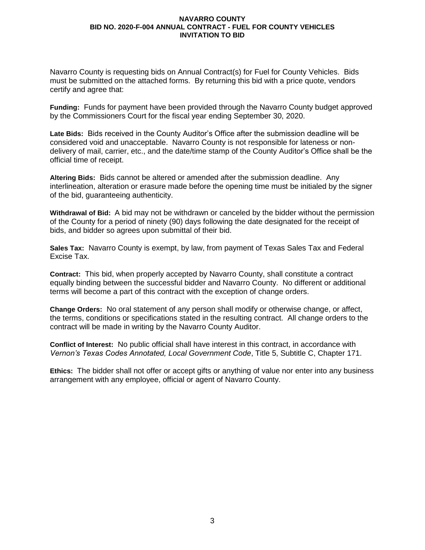Navarro County is requesting bids on Annual Contract(s) for Fuel for County Vehicles. Bids must be submitted on the attached forms. By returning this bid with a price quote, vendors certify and agree that:

**Funding:** Funds for payment have been provided through the Navarro County budget approved by the Commissioners Court for the fiscal year ending September 30, 2020.

**Late Bids:** Bids received in the County Auditor's Office after the submission deadline will be considered void and unacceptable. Navarro County is not responsible for lateness or nondelivery of mail, carrier, etc., and the date/time stamp of the County Auditor's Office shall be the official time of receipt.

**Altering Bids:** Bids cannot be altered or amended after the submission deadline. Any interlineation, alteration or erasure made before the opening time must be initialed by the signer of the bid, guaranteeing authenticity.

**Withdrawal of Bid:** A bid may not be withdrawn or canceled by the bidder without the permission of the County for a period of ninety (90) days following the date designated for the receipt of bids, and bidder so agrees upon submittal of their bid.

**Sales Tax:** Navarro County is exempt, by law, from payment of Texas Sales Tax and Federal Excise Tax.

**Contract:** This bid, when properly accepted by Navarro County, shall constitute a contract equally binding between the successful bidder and Navarro County. No different or additional terms will become a part of this contract with the exception of change orders.

**Change Orders:** No oral statement of any person shall modify or otherwise change, or affect, the terms, conditions or specifications stated in the resulting contract. All change orders to the contract will be made in writing by the Navarro County Auditor.

**Conflict of Interest:** No public official shall have interest in this contract, in accordance with *Vernon's Texas Codes Annotated, Local Government Code*, Title 5, Subtitle C, Chapter 171.

**Ethics:** The bidder shall not offer or accept gifts or anything of value nor enter into any business arrangement with any employee, official or agent of Navarro County.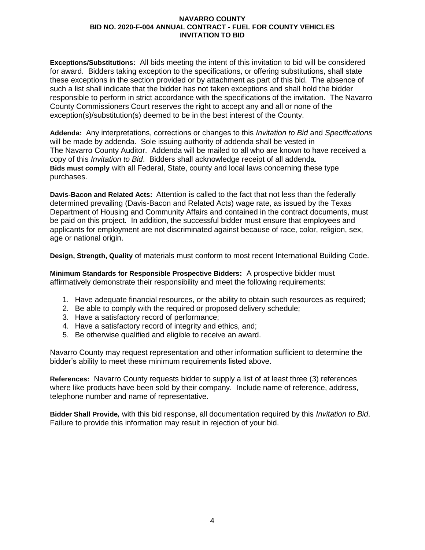**Exceptions/Substitutions:** All bids meeting the intent of this invitation to bid will be considered for award. Bidders taking exception to the specifications, or offering substitutions, shall state these exceptions in the section provided or by attachment as part of this bid. The absence of such a list shall indicate that the bidder has not taken exceptions and shall hold the bidder responsible to perform in strict accordance with the specifications of the invitation. The Navarro County Commissioners Court reserves the right to accept any and all or none of the exception(s)/substitution(s) deemed to be in the best interest of the County.

**Addenda:** Any interpretations, corrections or changes to this *Invitation to Bid* and *Specifications* will be made by addenda. Sole issuing authority of addenda shall be vested in The Navarro County Auditor. Addenda will be mailed to all who are known to have received a copy of this *Invitation to Bid*. Bidders shall acknowledge receipt of all addenda. **Bids must comply** with all Federal, State, county and local laws concerning these type purchases.

**Davis-Bacon and Related Acts:**Attention is called to the fact that not less than the federally determined prevailing (Davis-Bacon and Related Acts) wage rate, as issued by the Texas Department of Housing and Community Affairs and contained in the contract documents, must be paid on this project. In addition, the successful bidder must ensure that employees and applicants for employment are not discriminated against because of race, color, religion, sex, age or national origin.

**Design, Strength, Quality** of materials must conform to most recent International Building Code.

**Minimum Standards for Responsible Prospective Bidders:** A prospective bidder must affirmatively demonstrate their responsibility and meet the following requirements:

- 1. Have adequate financial resources, or the ability to obtain such resources as required;
- 2. Be able to comply with the required or proposed delivery schedule;
- 3. Have a satisfactory record of performance;
- 4. Have a satisfactory record of integrity and ethics, and;
- 5. Be otherwise qualified and eligible to receive an award.

Navarro County may request representation and other information sufficient to determine the bidder's ability to meet these minimum requirements listed above.

**References:** Navarro County requests bidder to supply a list of at least three (3) references where like products have been sold by their company. Include name of reference, address, telephone number and name of representative.

**Bidder Shall Provide***,* with this bid response, all documentation required by this *Invitation to Bid*. Failure to provide this information may result in rejection of your bid.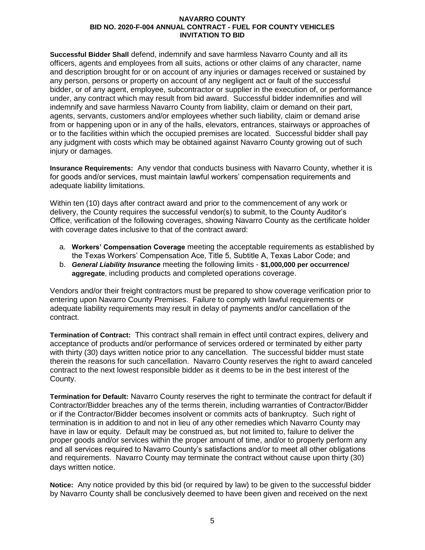**Successful Bidder Shall** defend, indemnify and save harmless Navarro County and all its officers, agents and employees from all suits, actions or other claims of any character, name and description brought for or on account of any injuries or damages received or sustained by any person, persons or property on account of any negligent act or fault of the successful bidder, or of any agent, employee, subcontractor or supplier in the execution of, or performance under, any contract which may result from bid award. Successful bidder indemnifies and will indemnify and save harmless Navarro County from liability, claim or demand on their part, agents, servants, customers and/or employees whether such liability, claim or demand arise from or happening upon or in any of the halls, elevators, entrances, stairways or approaches of or to the facilities within which the occupied premises are located. Successful bidder shall pay any judgment with costs which may be obtained against Navarro County growing out of such injury or damages.

**Insurance Requirements:** Any vendor that conducts business with Navarro County, whether it is for goods and/or services, must maintain lawful workers' compensation requirements and adequate liability limitations.

Within ten (10) days after contract award and prior to the commencement of any work or delivery, the County requires the successful vendor(s) to submit, to the County Auditor's Office, verification of the following coverages, showing Navarro County as the certificate holder with coverage dates inclusive to that of the contract award:

- a. **Workers' Compensation Coverage** meeting the acceptable requirements as established by the Texas Workers' Compensation Ace, Title 5, Subtitle A, Texas Labor Code; and
- b. *General Liability Insurance* meeting the following limits **\$1,000,000 per occurrence/ aggregate**, including products and completed operations coverage.

Vendors and/or their freight contractors must be prepared to show coverage verification prior to entering upon Navarro County Premises. Failure to comply with lawful requirements or adequate liability requirements may result in delay of payments and/or cancellation of the contract.

**Termination of Contract:** This contract shall remain in effect until contract expires, delivery and acceptance of products and/or performance of services ordered or terminated by either party with thirty (30) days written notice prior to any cancellation. The successful bidder must state therein the reasons for such cancellation. Navarro County reserves the right to award canceled contract to the next lowest responsible bidder as it deems to be in the best interest of the County.

**Termination for Default:** Navarro County reserves the right to terminate the contract for default if Contractor/Bidder breaches any of the terms therein, including warranties of Contractor/Bidder or if the Contractor/Bidder becomes insolvent or commits acts of bankruptcy. Such right of termination is in addition to and not in lieu of any other remedies which Navarro County may have in law or equity. Default may be construed as, but not limited to, failure to deliver the proper goods and/or services within the proper amount of time, and/or to properly perform any and all services required to Navarro County's satisfactions and/or to meet all other obligations and requirements. Navarro County may terminate the contract without cause upon thirty (30) days written notice.

**Notice:** Any notice provided by this bid (or required by law) to be given to the successful bidder by Navarro County shall be conclusively deemed to have been given and received on the next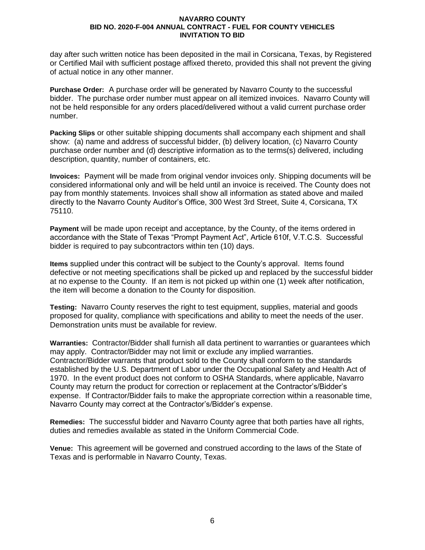day after such written notice has been deposited in the mail in Corsicana, Texas, by Registered or Certified Mail with sufficient postage affixed thereto, provided this shall not prevent the giving of actual notice in any other manner.

**Purchase Order:** A purchase order will be generated by Navarro County to the successful bidder. The purchase order number must appear on all itemized invoices. Navarro County will not be held responsible for any orders placed/delivered without a valid current purchase order number.

**Packing Slips** or other suitable shipping documents shall accompany each shipment and shall show: (a) name and address of successful bidder, (b) delivery location, (c) Navarro County purchase order number and (d) descriptive information as to the terms(s) delivered, including description, quantity, number of containers, etc.

**Invoices:**Payment will be made from original vendor invoices only. Shipping documents will be considered informational only and will be held until an invoice is received. The County does not pay from monthly statements. Invoices shall show all information as stated above and mailed directly to the Navarro County Auditor's Office, 300 West 3rd Street, Suite 4, Corsicana, TX 75110.

**Payment** will be made upon receipt and acceptance, by the County, of the items ordered in accordance with the State of Texas "Prompt Payment Act", Article 610f, V.T.C.S. Successful bidder is required to pay subcontractors within ten (10) days.

**Items** supplied under this contract will be subject to the County's approval. Items found defective or not meeting specifications shall be picked up and replaced by the successful bidder at no expense to the County. If an item is not picked up within one (1) week after notification, the item will become a donation to the County for disposition.

**Testing:** Navarro County reserves the right to test equipment, supplies, material and goods proposed for quality, compliance with specifications and ability to meet the needs of the user. Demonstration units must be available for review.

**Warranties:** Contractor/Bidder shall furnish all data pertinent to warranties or guarantees which may apply. Contractor/Bidder may not limit or exclude any implied warranties. Contractor/Bidder warrants that product sold to the County shall conform to the standards established by the U.S. Department of Labor under the Occupational Safety and Health Act of 1970. In the event product does not conform to OSHA Standards, where applicable, Navarro County may return the product for correction or replacement at the Contractor's/Bidder's expense. If Contractor/Bidder fails to make the appropriate correction within a reasonable time, Navarro County may correct at the Contractor's/Bidder's expense.

**Remedies:** The successful bidder and Navarro County agree that both parties have all rights, duties and remedies available as stated in the Uniform Commercial Code.

**Venue:** This agreement will be governed and construed according to the laws of the State of Texas and is performable in Navarro County, Texas.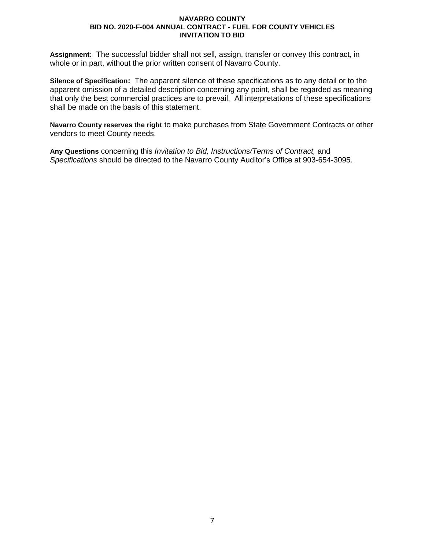**Assignment:** The successful bidder shall not sell, assign, transfer or convey this contract, in whole or in part, without the prior written consent of Navarro County.

**Silence of Specification:** The apparent silence of these specifications as to any detail or to the apparent omission of a detailed description concerning any point, shall be regarded as meaning that only the best commercial practices are to prevail. All interpretations of these specifications shall be made on the basis of this statement.

**Navarro County reserves the right** to make purchases from State Government Contracts or other vendors to meet County needs.

**Any Questions** concerning this *Invitation to Bid, Instructions/Terms of Contract,* and *Specifications* should be directed to the Navarro County Auditor's Office at 903-654-3095.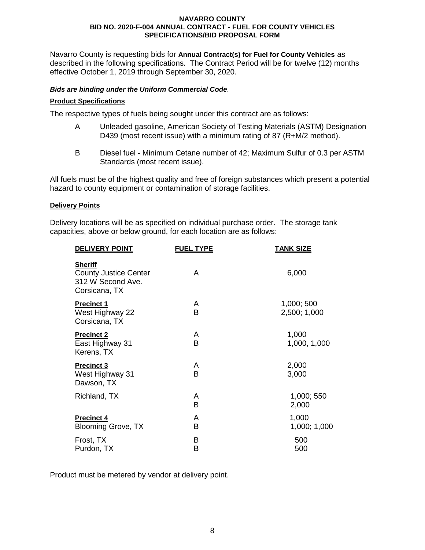Navarro County is requesting bids for **Annual Contract(s) for Fuel for County Vehicles** as described in the following specifications. The Contract Period will be for twelve (12) months effective October 1, 2019 through September 30, 2020.

# *Bids are binding under the Uniform Commercial Code.*

### **Product Specifications**

The respective types of fuels being sought under this contract are as follows:

- A Unleaded gasoline, American Society of Testing Materials (ASTM) Designation D439 (most recent issue) with a minimum rating of 87 (R+M/2 method).
- B Diesel fuel Minimum Cetane number of 42; Maximum Sulfur of 0.3 per ASTM Standards (most recent issue).

All fuels must be of the highest quality and free of foreign substances which present a potential hazard to county equipment or contamination of storage facilities.

### **Delivery Points**

Delivery locations will be as specified on individual purchase order. The storage tank capacities, above or below ground, for each location are as follows:

| <b>DELIVERY POINT</b>                                                                | <u>FUEL TYPE</u> | <b>TANK SIZE</b>           |
|--------------------------------------------------------------------------------------|------------------|----------------------------|
| <b>Sheriff</b><br><b>County Justice Center</b><br>312 W Second Ave.<br>Corsicana, TX | A                | 6,000                      |
| <b>Precinct 1</b><br>West Highway 22<br>Corsicana, TX                                | A<br>B           | 1,000; 500<br>2,500; 1,000 |
| <b>Precinct 2</b><br>East Highway 31<br>Kerens, TX                                   | A<br>B           | 1,000<br>1,000, 1,000      |
| <b>Precinct 3</b><br>West Highway 31<br>Dawson, TX                                   | A<br>B           | 2,000<br>3,000             |
| Richland, TX                                                                         | A<br>B           | 1,000; 550<br>2,000        |
| <b>Precinct 4</b><br><b>Blooming Grove, TX</b>                                       | A<br>B           | 1,000<br>1,000; 1,000      |
| Frost, TX<br>Purdon, TX                                                              | B<br>B           | 500<br>500                 |

Product must be metered by vendor at delivery point.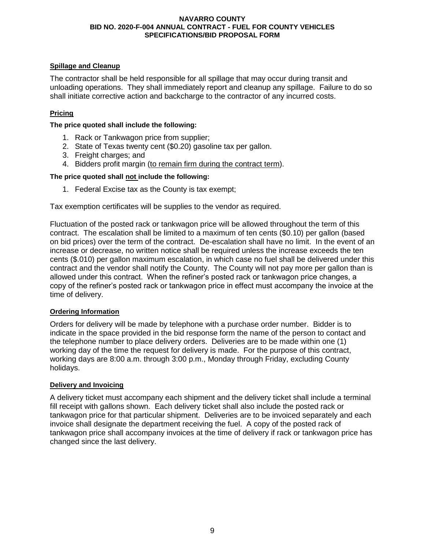# **Spillage and Cleanup**

The contractor shall be held responsible for all spillage that may occur during transit and unloading operations. They shall immediately report and cleanup any spillage. Failure to do so shall initiate corrective action and backcharge to the contractor of any incurred costs.

# **Pricing**

**The price quoted shall include the following:**

- 1. Rack or Tankwagon price from supplier;
- 2. State of Texas twenty cent (\$0.20) gasoline tax per gallon.
- 3. Freight charges; and
- 4. Bidders profit margin (to remain firm during the contract term).

# **The price quoted shall not include the following:**

1. Federal Excise tax as the County is tax exempt;

Tax exemption certificates will be supplies to the vendor as required.

Fluctuation of the posted rack or tankwagon price will be allowed throughout the term of this contract. The escalation shall be limited to a maximum of ten cents (\$0.10) per gallon (based on bid prices) over the term of the contract. De-escalation shall have no limit. In the event of an increase or decrease, no written notice shall be required unless the increase exceeds the ten cents (\$.010) per gallon maximum escalation, in which case no fuel shall be delivered under this contract and the vendor shall notify the County. The County will not pay more per gallon than is allowed under this contract. When the refiner's posted rack or tankwagon price changes, a copy of the refiner's posted rack or tankwagon price in effect must accompany the invoice at the time of delivery.

# **Ordering Information**

Orders for delivery will be made by telephone with a purchase order number. Bidder is to indicate in the space provided in the bid response form the name of the person to contact and the telephone number to place delivery orders. Deliveries are to be made within one (1) working day of the time the request for delivery is made. For the purpose of this contract, working days are 8:00 a.m. through 3:00 p.m., Monday through Friday, excluding County holidays.

### **Delivery and Invoicing**

A delivery ticket must accompany each shipment and the delivery ticket shall include a terminal fill receipt with gallons shown. Each delivery ticket shall also include the posted rack or tankwagon price for that particular shipment. Deliveries are to be invoiced separately and each invoice shall designate the department receiving the fuel. A copy of the posted rack of tankwagon price shall accompany invoices at the time of delivery if rack or tankwagon price has changed since the last delivery.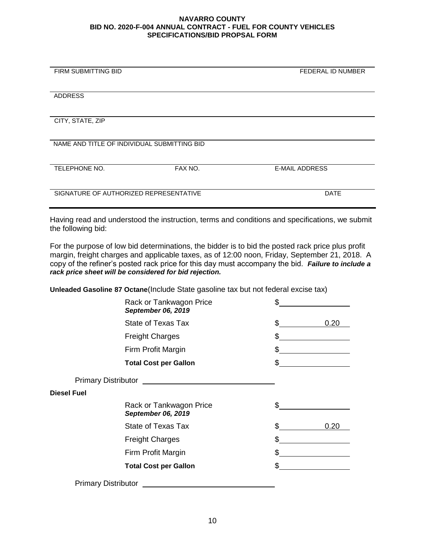| FIRM SUBMITTING BID                         |         | FEDERAL ID NUMBER     |
|---------------------------------------------|---------|-----------------------|
|                                             |         |                       |
|                                             |         |                       |
| <b>ADDRESS</b>                              |         |                       |
|                                             |         |                       |
|                                             |         |                       |
|                                             |         |                       |
| CITY, STATE, ZIP                            |         |                       |
|                                             |         |                       |
|                                             |         |                       |
| NAME AND TITLE OF INDIVIDUAL SUBMITTING BID |         |                       |
|                                             |         |                       |
|                                             |         |                       |
| TELEPHONE NO.                               | FAX NO. | <b>E-MAIL ADDRESS</b> |
|                                             |         |                       |
|                                             |         |                       |
|                                             |         |                       |
| SIGNATURE OF AUTHORIZED REPRESENTATIVE      |         | <b>DATE</b>           |
|                                             |         |                       |
|                                             |         |                       |

Having read and understood the instruction, terms and conditions and specifications, we submit the following bid:

For the purpose of low bid determinations, the bidder is to bid the posted rack price plus profit margin, freight charges and applicable taxes, as of 12:00 noon, Friday, September 21, 2018. A copy of the refiner's posted rack price for this day must accompany the bid. *Failure to include a rack price sheet will be considered for bid rejection.*

**Unleaded Gasoline 87 Octane**(Include State gasoline tax but not federal excise tax)

| \$                                   |
|--------------------------------------|
| \$<br>0.20                           |
| \$                                   |
| \$                                   |
| \$                                   |
|                                      |
|                                      |
| \$                                   |
| \$<br>0.20                           |
| \$                                   |
| \$                                   |
| \$<br><u>and a strategic product</u> |
|                                      |
|                                      |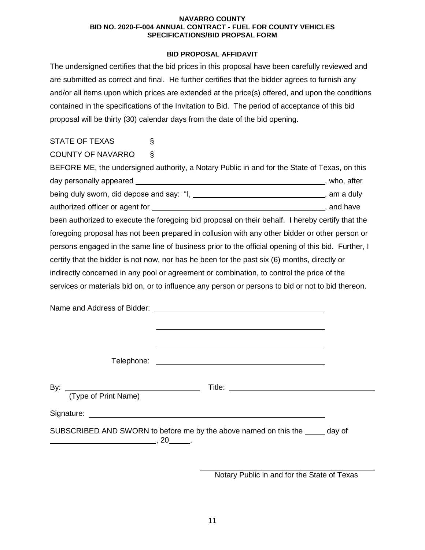# **BID PROPOSAL AFFIDAVIT**

The undersigned certifies that the bid prices in this proposal have been carefully reviewed and are submitted as correct and final. He further certifies that the bidder agrees to furnish any and/or all items upon which prices are extended at the price(s) offered, and upon the conditions contained in the specifications of the Invitation to Bid. The period of acceptance of this bid proposal will be thirty (30) calendar days from the date of the bid opening.

| <b>STATE OF TEXAS</b>                                                                              | ş                                                                                            |  |  |
|----------------------------------------------------------------------------------------------------|----------------------------------------------------------------------------------------------|--|--|
| <b>COUNTY OF NAVARRO</b>                                                                           | $\S$                                                                                         |  |  |
|                                                                                                    | BEFORE ME, the undersigned authority, a Notary Public in and for the State of Texas, on this |  |  |
|                                                                                                    |                                                                                              |  |  |
|                                                                                                    | being duly sworn, did depose and say: "I, ________________________________, am a duly        |  |  |
|                                                                                                    |                                                                                              |  |  |
| been authorized to execute the foregoing bid proposal on their behalf. I hereby certify that the   |                                                                                              |  |  |
| foregoing proposal has not been prepared in collusion with any other bidder or other person or     |                                                                                              |  |  |
| persons engaged in the same line of business prior to the official opening of this bid. Further, I |                                                                                              |  |  |
| certify that the bidder is not now, nor has he been for the past six (6) months, directly or       |                                                                                              |  |  |
| indirectly concerned in any pool or agreement or combination, to control the price of the          |                                                                                              |  |  |
| services or materials bid on, or to influence any person or persons to bid or not to bid thereon.  |                                                                                              |  |  |
|                                                                                                    |                                                                                              |  |  |
|                                                                                                    |                                                                                              |  |  |
|                                                                                                    |                                                                                              |  |  |
|                                                                                                    |                                                                                              |  |  |

Telephone: The contract of the contract of the contract of the contract of the contract of the contract of the contract of the contract of the contract of the contract of the contract of the contract of the contract of the By: Title: (Type of Print Name) Signature: experience of the state of the state of the state of the state of the state of the state of the state of the state of the state of the state of the state of the state of the state of the state of the state of th SUBSCRIBED AND SWORN to before me by the above named on this the wave of  $\overline{\phantom{a}}$ , 20  $\overline{\phantom{a}}$ .

Notary Public in and for the State of Texas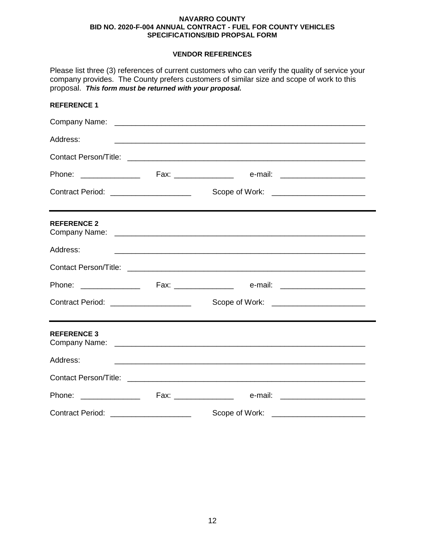# **VENDOR REFERENCES**

| proposal. This form must be returned with your proposal. |                                                      | Please list three (3) references of current customers who can verify the quality of service your<br>company provides. The County prefers customers of similar size and scope of work to this |  |
|----------------------------------------------------------|------------------------------------------------------|----------------------------------------------------------------------------------------------------------------------------------------------------------------------------------------------|--|
| <b>REFERENCE 1</b>                                       |                                                      |                                                                                                                                                                                              |  |
|                                                          |                                                      |                                                                                                                                                                                              |  |
| Address:                                                 |                                                      | <u> 1989 - Johann Harry Harry Harry Harry Harry Harry Harry Harry Harry Harry Harry Harry Harry Harry Harry Harry</u>                                                                        |  |
|                                                          |                                                      |                                                                                                                                                                                              |  |
|                                                          |                                                      | Phone: _________________  Fax: _________________  e-mail: ______________________                                                                                                             |  |
| Contract Period: _____________________                   |                                                      | Scope of Work: __________________________                                                                                                                                                    |  |
| <b>REFERENCE 2</b>                                       |                                                      |                                                                                                                                                                                              |  |
| Address:                                                 |                                                      |                                                                                                                                                                                              |  |
|                                                          |                                                      |                                                                                                                                                                                              |  |
|                                                          |                                                      |                                                                                                                                                                                              |  |
| Contract Period: _____________________                   |                                                      |                                                                                                                                                                                              |  |
| <b>REFERENCE 3</b>                                       |                                                      |                                                                                                                                                                                              |  |
| Address:                                                 |                                                      |                                                                                                                                                                                              |  |
|                                                          |                                                      |                                                                                                                                                                                              |  |
| Phone: _________________                                 |                                                      |                                                                                                                                                                                              |  |
| <b>Contract Period:</b>                                  | <u> 2000 - Jan Barnett, fransk politik (d. 1982)</u> | Scope of Work:                                                                                                                                                                               |  |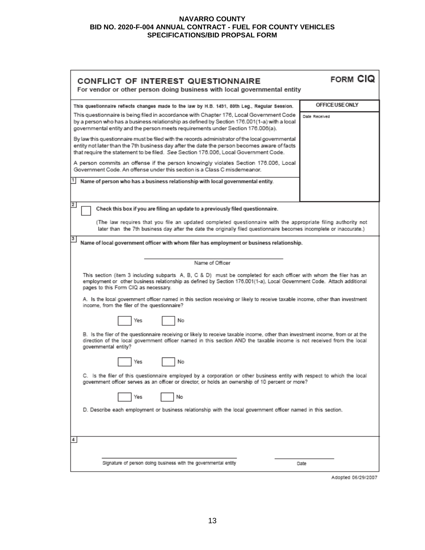| CONFLICT OF INTEREST QUESTIONNAIRE<br>For vendor or other person doing business with local governmental entity                                                                                                                                                                         | <b>FORM CIQ</b> |  |  |
|----------------------------------------------------------------------------------------------------------------------------------------------------------------------------------------------------------------------------------------------------------------------------------------|-----------------|--|--|
| This questionnaire reflects changes made to the law by H.B. 1491, 80th Leg., Regular Session.                                                                                                                                                                                          | OFFICE USE ONLY |  |  |
| This questionnaire is being filed in accordance with Chapter 176, Local Government Code<br>by a person who has a business relationship as defined by Section 176.001(1-a) with a local<br>governmental entity and the person meets requirements under Section 176.006(a).              | Date Received   |  |  |
| By law this questionnaire must be filed with the records administrator of the local governmental<br>entity not later than the 7th business day after the date the person becomes aware of facts<br>that require the statement to be filed. See Section 176.006, Local Government Code. |                 |  |  |
| A person commits an offense if the person knowingly violates Section 176.006, Local<br>Government Code. An offense under this section is a Class C misdemeanor.                                                                                                                        |                 |  |  |
| Name of person who has a business relationship with local governmental entity.                                                                                                                                                                                                         |                 |  |  |
| $\overline{2}$<br>Check this box if you are filing an update to a previously filed questionnaire.                                                                                                                                                                                      |                 |  |  |
| (The law requires that you file an updated completed questionnaire with the appropriate filing authority not<br>later than the 7th business day after the date the originally filed questionnaire becomes incomplete or inaccurate.)                                                   |                 |  |  |
| 3<br>Name of local government officer with whom filer has employment or business relationship.                                                                                                                                                                                         |                 |  |  |
| Name of Officer                                                                                                                                                                                                                                                                        |                 |  |  |
| This section (item 3 including subparts A, B, C & D) must be completed for each officer with whom the filer has an<br>employment or other business relationship as defined by Section 176.001(1-a), Local Government Code. Attach additional<br>pages to this Form CIQ as necessary.   |                 |  |  |
| A. Is the local government officer named in this section receiving or likely to receive taxable income, other than investment<br>income, from the filer of the questionnaire?                                                                                                          |                 |  |  |
| No<br>Yes                                                                                                                                                                                                                                                                              |                 |  |  |
| B. Is the filer of the questionnaire receiving or likely to receive taxable income, other than investment income, from or at the<br>direction of the local government officer named in this section AND the taxable income is not received from the local<br>governmental entity?      |                 |  |  |
| No<br>Yes                                                                                                                                                                                                                                                                              |                 |  |  |
| C. Is the filer of this questionnaire employed by a corporation or other business entity with respect to which the local<br>government officer serves as an officer or director, or holds an ownership of 10 percent or more?                                                          |                 |  |  |
| No<br>Yes                                                                                                                                                                                                                                                                              |                 |  |  |
| D. Describe each employment or business relationship with the local government officer named in this section.                                                                                                                                                                          |                 |  |  |
| 4                                                                                                                                                                                                                                                                                      |                 |  |  |
| Signature of person doing business with the governmental entity                                                                                                                                                                                                                        | Date            |  |  |

Adopted 06/29/2007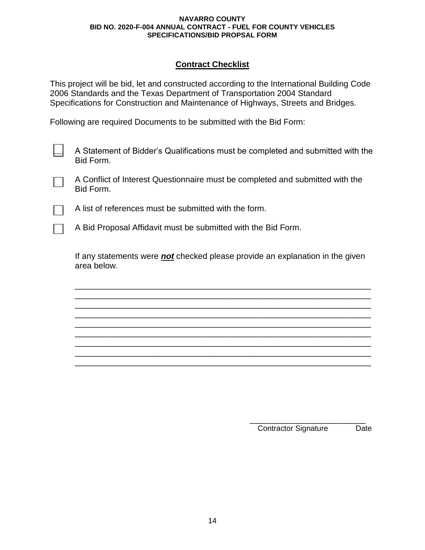# **Contract Checklist**

This project will be bid, let and constructed according to the International Building Code 2006 Standards and the Texas Department of Transportation 2004 Standard Specifications for Construction and Maintenance of Highways, Streets and Bridges.

Following are required Documents to be submitted with the Bid Form:

A Statement of Bidder's Qualifications must be completed and submitted with the Bid Form.

A Conflict of Interest Questionnaire must be completed and submitted with the Bid Form.

A list of references must be submitted with the form.

A Bid Proposal Affidavit must be submitted with the Bid Form.

If any statements were *not* checked please provide an explanation in the given area below.

\_\_\_\_\_\_\_\_\_\_\_\_\_\_\_\_\_\_\_\_\_\_\_\_\_\_\_\_\_\_\_\_\_\_\_\_\_\_\_\_\_\_\_\_\_\_\_\_\_\_\_\_\_\_\_\_\_\_\_\_\_\_\_\_ \_\_\_\_\_\_\_\_\_\_\_\_\_\_\_\_\_\_\_\_\_\_\_\_\_\_\_\_\_\_\_\_\_\_\_\_\_\_\_\_\_\_\_\_\_\_\_\_\_\_\_\_\_\_\_\_\_\_\_\_\_\_\_\_ \_\_\_\_\_\_\_\_\_\_\_\_\_\_\_\_\_\_\_\_\_\_\_\_\_\_\_\_\_\_\_\_\_\_\_\_\_\_\_\_\_\_\_\_\_\_\_\_\_\_\_\_\_\_\_\_\_\_\_\_\_\_\_\_ \_\_\_\_\_\_\_\_\_\_\_\_\_\_\_\_\_\_\_\_\_\_\_\_\_\_\_\_\_\_\_\_\_\_\_\_\_\_\_\_\_\_\_\_\_\_\_\_\_\_\_\_\_\_\_\_\_\_\_\_\_\_\_\_ \_\_\_\_\_\_\_\_\_\_\_\_\_\_\_\_\_\_\_\_\_\_\_\_\_\_\_\_\_\_\_\_\_\_\_\_\_\_\_\_\_\_\_\_\_\_\_\_\_\_\_\_\_\_\_\_\_\_\_\_\_\_\_\_ \_\_\_\_\_\_\_\_\_\_\_\_\_\_\_\_\_\_\_\_\_\_\_\_\_\_\_\_\_\_\_\_\_\_\_\_\_\_\_\_\_\_\_\_\_\_\_\_\_\_\_\_\_\_\_\_\_\_\_\_\_\_\_\_ \_\_\_\_\_\_\_\_\_\_\_\_\_\_\_\_\_\_\_\_\_\_\_\_\_\_\_\_\_\_\_\_\_\_\_\_\_\_\_\_\_\_\_\_\_\_\_\_\_\_\_\_\_\_\_\_\_\_\_\_\_\_\_\_ \_\_\_\_\_\_\_\_\_\_\_\_\_\_\_\_\_\_\_\_\_\_\_\_\_\_\_\_\_\_\_\_\_\_\_\_\_\_\_\_\_\_\_\_\_\_\_\_\_\_\_\_\_\_\_\_\_\_\_\_\_\_\_\_ \_\_\_\_\_\_\_\_\_\_\_\_\_\_\_\_\_\_\_\_\_\_\_\_\_\_\_\_\_\_\_\_\_\_\_\_\_\_\_\_\_\_\_\_\_\_\_\_\_\_\_\_\_\_\_\_\_\_\_\_\_\_\_\_

> \_\_\_\_\_\_\_\_\_\_\_\_\_\_\_\_\_\_\_\_\_\_\_\_\_ Contractor Signature Date